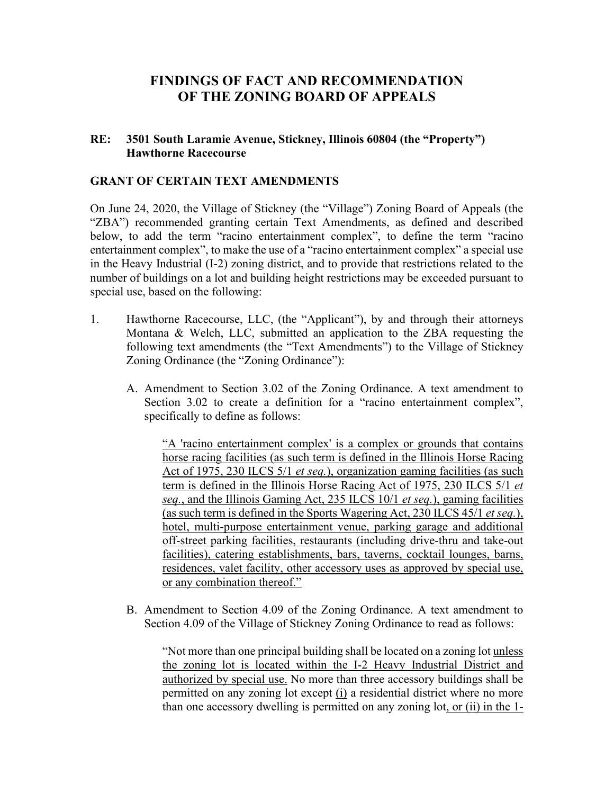### **FINDINGS OF FACT AND RECOMMENDATION OF THE ZONING BOARD OF APPEALS**

#### **RE: 3501 South Laramie Avenue, Stickney, Illinois 60804 (the "Property") Hawthorne Racecourse**

#### **GRANT OF CERTAIN TEXT AMENDMENTS**

On June 24, 2020, the Village of Stickney (the "Village") Zoning Board of Appeals (the "ZBA") recommended granting certain Text Amendments, as defined and described below, to add the term "racino entertainment complex", to define the term "racino entertainment complex", to make the use of a "racino entertainment complex" a special use in the Heavy Industrial (I-2) zoning district, and to provide that restrictions related to the number of buildings on a lot and building height restrictions may be exceeded pursuant to special use, based on the following:

- 1. Hawthorne Racecourse, LLC, (the "Applicant"), by and through their attorneys Montana & Welch, LLC, submitted an application to the ZBA requesting the following text amendments (the "Text Amendments") to the Village of Stickney Zoning Ordinance (the "Zoning Ordinance"):
	- A. Amendment to Section 3.02 of the Zoning Ordinance. A text amendment to Section 3.02 to create a definition for a "racino entertainment complex", specifically to define as follows:

"A 'racino entertainment complex' is a complex or grounds that contains horse racing facilities (as such term is defined in the Illinois Horse Racing Act of 1975, 230 ILCS 5/1 *et seq.*), organization gaming facilities (as such term is defined in the Illinois Horse Racing Act of 1975, 230 ILCS 5/1 *et seq.*, and the Illinois Gaming Act, 235 ILCS 10/1 *et seq.*), gaming facilities (as such term is defined in the Sports Wagering Act, 230 ILCS 45/1 *et seq.*), hotel, multi-purpose entertainment venue, parking garage and additional off-street parking facilities, restaurants (including drive-thru and take-out facilities), catering establishments, bars, taverns, cocktail lounges, barns, residences, valet facility, other accessory uses as approved by special use, or any combination thereof."

B. Amendment to Section 4.09 of the Zoning Ordinance. A text amendment to Section 4.09 of the Village of Stickney Zoning Ordinance to read as follows:

"Not more than one principal building shall be located on a zoning lot unless the zoning lot is located within the I-2 Heavy Industrial District and authorized by special use. No more than three accessory buildings shall be permitted on any zoning lot except (i) a residential district where no more than one accessory dwelling is permitted on any zoning lot, or (ii) in the 1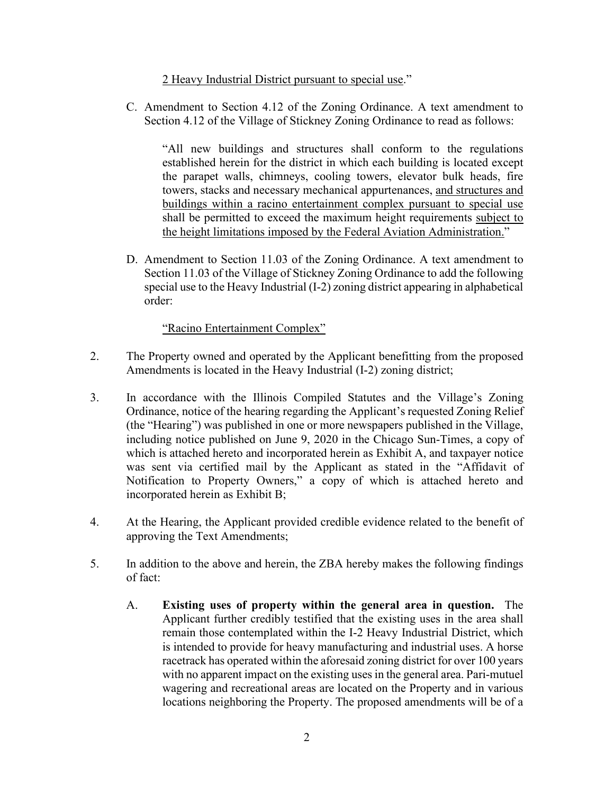2 Heavy Industrial District pursuant to special use."

C. Amendment to Section 4.12 of the Zoning Ordinance. A text amendment to Section 4.12 of the Village of Stickney Zoning Ordinance to read as follows:

"All new buildings and structures shall conform to the regulations established herein for the district in which each building is located except the parapet walls, chimneys, cooling towers, elevator bulk heads, fire towers, stacks and necessary mechanical appurtenances, and structures and buildings within a racino entertainment complex pursuant to special use shall be permitted to exceed the maximum height requirements subject to the height limitations imposed by the Federal Aviation Administration."

D. Amendment to Section 11.03 of the Zoning Ordinance. A text amendment to Section 11.03 of the Village of Stickney Zoning Ordinance to add the following special use to the Heavy Industrial (I-2) zoning district appearing in alphabetical order:

"Racino Entertainment Complex"

- 2. The Property owned and operated by the Applicant benefitting from the proposed Amendments is located in the Heavy Industrial (I-2) zoning district;
- 3. In accordance with the Illinois Compiled Statutes and the Village's Zoning Ordinance, notice of the hearing regarding the Applicant's requested Zoning Relief (the "Hearing") was published in one or more newspapers published in the Village, including notice published on June 9, 2020 in the Chicago Sun-Times, a copy of which is attached hereto and incorporated herein as Exhibit A, and taxpayer notice was sent via certified mail by the Applicant as stated in the "Affidavit of Notification to Property Owners," a copy of which is attached hereto and incorporated herein as Exhibit B;
- 4. At the Hearing, the Applicant provided credible evidence related to the benefit of approving the Text Amendments;
- 5. In addition to the above and herein, the ZBA hereby makes the following findings of fact:
	- A. **Existing uses of property within the general area in question.** The Applicant further credibly testified that the existing uses in the area shall remain those contemplated within the I-2 Heavy Industrial District, which is intended to provide for heavy manufacturing and industrial uses. A horse racetrack has operated within the aforesaid zoning district for over 100 years with no apparent impact on the existing uses in the general area. Pari-mutuel wagering and recreational areas are located on the Property and in various locations neighboring the Property. The proposed amendments will be of a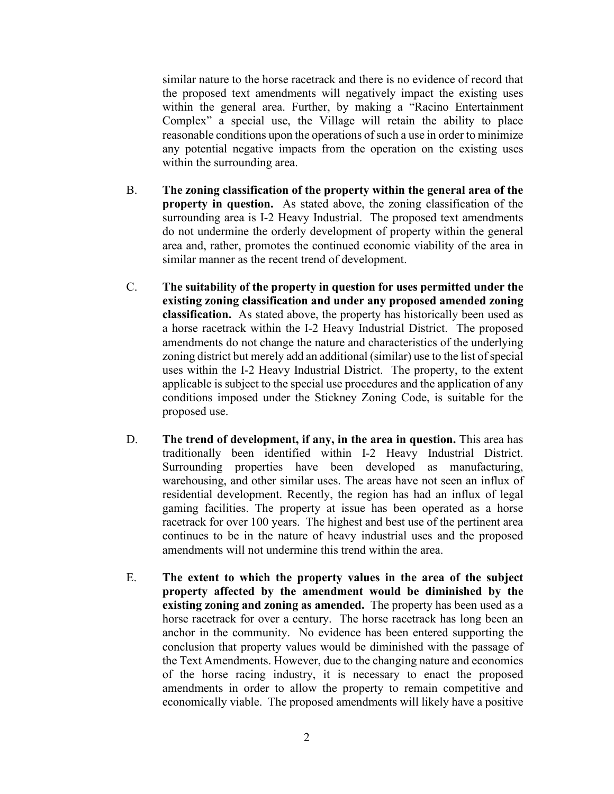similar nature to the horse racetrack and there is no evidence of record that the proposed text amendments will negatively impact the existing uses within the general area. Further, by making a "Racino Entertainment Complex" a special use, the Village will retain the ability to place reasonable conditions upon the operations of such a use in order to minimize any potential negative impacts from the operation on the existing uses within the surrounding area.

- B. **The zoning classification of the property within the general area of the property in question.** As stated above, the zoning classification of the surrounding area is I-2 Heavy Industrial. The proposed text amendments do not undermine the orderly development of property within the general area and, rather, promotes the continued economic viability of the area in similar manner as the recent trend of development.
- C. **The suitability of the property in question for uses permitted under the existing zoning classification and under any proposed amended zoning classification.** As stated above, the property has historically been used as a horse racetrack within the I-2 Heavy Industrial District. The proposed amendments do not change the nature and characteristics of the underlying zoning district but merely add an additional (similar) use to the list of special uses within the I-2 Heavy Industrial District. The property, to the extent applicable is subject to the special use procedures and the application of any conditions imposed under the Stickney Zoning Code, is suitable for the proposed use.
- D. **The trend of development, if any, in the area in question.** This area has traditionally been identified within I-2 Heavy Industrial District. Surrounding properties have been developed as manufacturing, warehousing, and other similar uses. The areas have not seen an influx of residential development. Recently, the region has had an influx of legal gaming facilities. The property at issue has been operated as a horse racetrack for over 100 years. The highest and best use of the pertinent area continues to be in the nature of heavy industrial uses and the proposed amendments will not undermine this trend within the area.
- E. **The extent to which the property values in the area of the subject property affected by the amendment would be diminished by the existing zoning and zoning as amended.** The property has been used as a horse racetrack for over a century. The horse racetrack has long been an anchor in the community. No evidence has been entered supporting the conclusion that property values would be diminished with the passage of the Text Amendments. However, due to the changing nature and economics of the horse racing industry, it is necessary to enact the proposed amendments in order to allow the property to remain competitive and economically viable. The proposed amendments will likely have a positive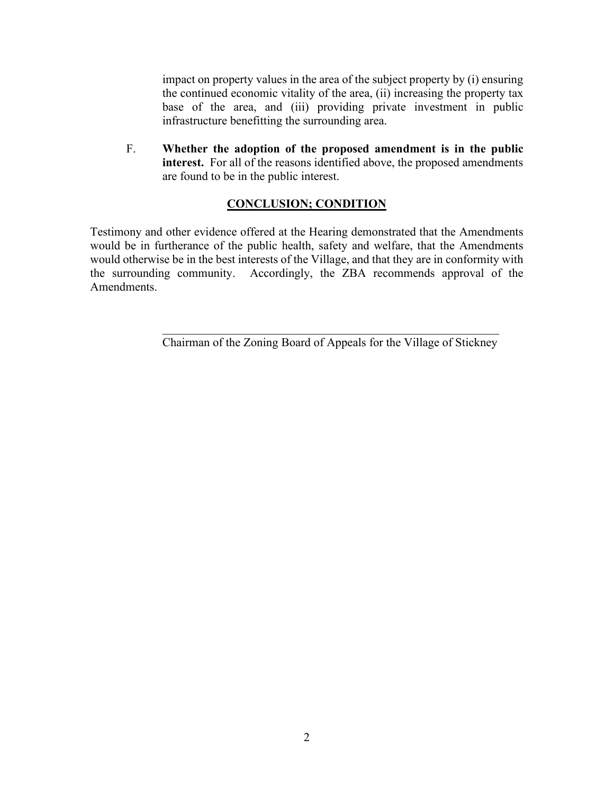impact on property values in the area of the subject property by (i) ensuring the continued economic vitality of the area, (ii) increasing the property tax base of the area, and (iii) providing private investment in public infrastructure benefitting the surrounding area.

F. **Whether the adoption of the proposed amendment is in the public interest.** For all of the reasons identified above, the proposed amendments are found to be in the public interest.

#### **CONCLUSION; CONDITION**

Testimony and other evidence offered at the Hearing demonstrated that the Amendments would be in furtherance of the public health, safety and welfare, that the Amendments would otherwise be in the best interests of the Village, and that they are in conformity with the surrounding community. Accordingly, the ZBA recommends approval of the Amendments.

> \_\_\_\_\_\_\_\_\_\_\_\_\_\_\_\_\_\_\_\_\_\_\_\_\_\_\_\_\_\_\_\_\_\_\_\_\_\_\_\_\_\_\_\_\_\_\_\_\_\_\_\_\_\_\_\_ Chairman of the Zoning Board of Appeals for the Village of Stickney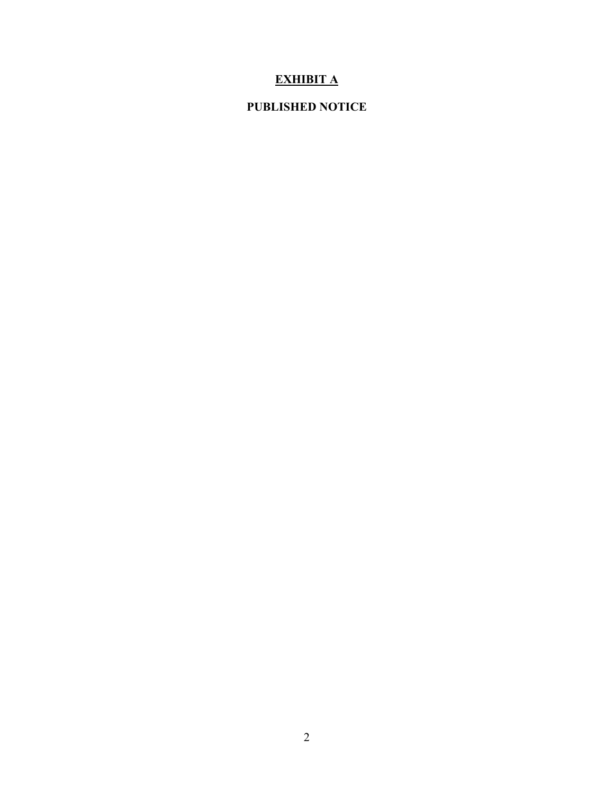## **EXHIBIT A**

### **PUBLISHED NOTICE**